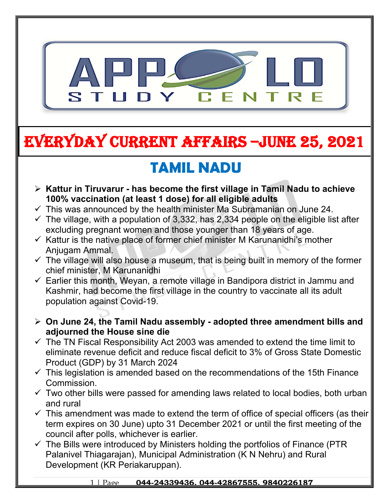

# **EVERYDAY CURRENT AFFAIRS –jUNE 25, 2021**

# **TAMIL NADU**

- **Kattur in Tiruvarur has become the first village in Tamil Nadu to achieve 100% vaccination (at least 1 dose) for all eligible adults**
- $\checkmark$  This was announced by the health minister Ma Subramanian on June 24.

**-**

- $\checkmark$  The village, with a population of 3,332, has 2,334 people on the eligible list after excluding pregnant women and those younger than 18 years of age.
- $\checkmark$  Kattur is the native place of former chief minister M Karunanidhi's mother Anjugam Ammal.
- $\checkmark$  The village will also house a museum, that is being built in memory of the former chief minister, M Karunanidhi
- $\checkmark$  Earlier this month, Weyan, a remote village in Bandipora district in Jammu and Kashmir, had become the first village in the country to vaccinate all its adult population against Covid-19.
- **On June 24, the Tamil Nadu assembly adopted three amendment bills and adjourned the House sine die**
- $\checkmark$  The TN Fiscal Responsibility Act 2003 was amended to extend the time limit to eliminate revenue deficit and reduce fiscal deficit to 3% of Gross State Domestic Product (GDP) by 31 March 2024
- $\checkmark$  This legislation is amended based on the recommendations of the 15th Finance Commission.
- $\checkmark$  Two other bills were passed for amending laws related to local bodies, both urban and rural
- $\checkmark$  This amendment was made to extend the term of office of special officers (as their term expires on 30 June) upto 31 December 2021 or until the first meeting of the council after polls, whichever is earlier.
- $\checkmark$  The Bills were introduced by Ministers holding the portfolios of Finance (PTR) Palanivel Thiagarajan), Municipal Administration (K N Nehru) and Rural Development (KR Periakaruppan).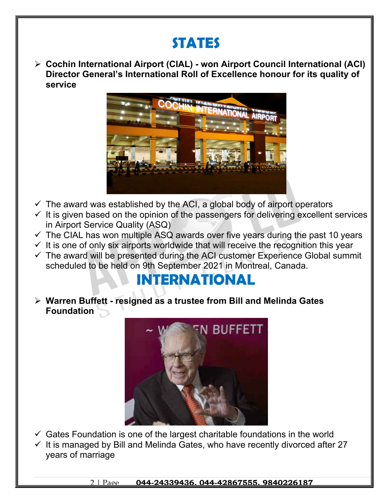## **STATES**

 **Cochin International Airport (CIAL) - won Airport Council International (ACI) Director General's International Roll of Excellence honour for its quality of service**



- $\checkmark$  The award was established by the ACI, a global body of airport operators
- $\checkmark$  It is given based on the opinion of the passengers for delivering excellent services in Airport Service Quality (ASQ)
- $\checkmark$  The CIAL has won multiple ASQ awards over five years during the past 10 years
- $\checkmark$  It is one of only six airports worldwide that will receive the recognition this year
- $\checkmark$  The award will be presented during the ACI customer Experience Global summit scheduled to be held on 9th September 2021 in Montreal, Canada.

### **INTERNATIONAL**

 **Warren Buffett - resigned as a trustee from Bill and Melinda Gates Foundation**



 $\checkmark$  Gates Foundation is one of the largest charitable foundations in the world  $\checkmark$  It is managed by Bill and Melinda Gates, who have recently divorced after 27 years of marriage

2 | Page **044-24339436, 044-42867555, 9840226187**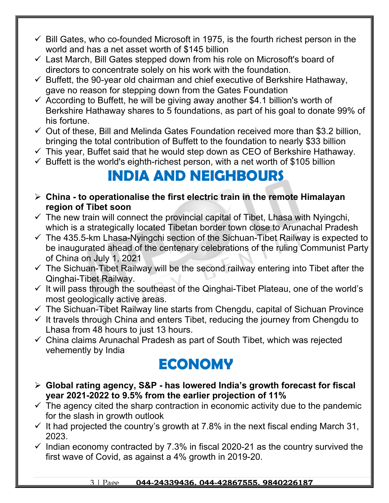- $\checkmark$  Bill Gates, who co-founded Microsoft in 1975, is the fourth richest person in the world and has a net asset worth of \$145 billion
- $\checkmark$  Last March, Bill Gates stepped down from his role on Microsoft's board of directors to concentrate solely on his work with the foundation.
- $\checkmark$  Buffett, the 90-year old chairman and chief executive of Berkshire Hathaway, gave no reason for stepping down from the Gates Foundation
- $\checkmark$  According to Buffett, he will be giving away another \$4.1 billion's worth of Berkshire Hathaway shares to 5 foundations, as part of his goal to donate 99% of his fortune.
- $\checkmark$  Out of these, Bill and Melinda Gates Foundation received more than \$3.2 billion, bringing the total contribution of Buffett to the foundation to nearly \$33 billion
- $\checkmark$  This year, Buffet said that he would step down as CEO of Berkshire Hathaway.
- $\checkmark$  Buffett is the world's eighth-richest person, with a net worth of \$105 billion

#### **INDIA AND NEIGHBOURS**

- **China to operationalise the first electric train in the remote Himalayan region of Tibet soon**
- $\checkmark$  The new train will connect the provincial capital of Tibet, Lhasa with Nyingchi, which is a strategically located Tibetan border town close to Arunachal Pradesh
- $\checkmark$  The 435.5-km Lhasa-Nyingchi section of the Sichuan-Tibet Railway is expected to be inaugurated ahead of the centenary celebrations of the ruling Communist Party of China on July 1, 2021
- $\checkmark$  The Sichuan-Tibet Railway will be the second railway entering into Tibet after the Qinghai-Tibet Railway.
- $\checkmark$  It will pass through the southeast of the Qinghai-Tibet Plateau, one of the world's most geologically active areas.
- $\checkmark$  The Sichuan-Tibet Railway line starts from Chengdu, capital of Sichuan Province
- $\checkmark$  It travels through China and enters Tibet, reducing the journey from Chengdu to Lhasa from 48 hours to just 13 hours.
- $\checkmark$  China claims Arunachal Pradesh as part of South Tibet, which was rejected vehemently by India

### **ECONOMY**

- **Global rating agency, S&P has lowered India's growth forecast for fiscal year 2021-2022 to 9.5% from the earlier projection of 11%**
- $\checkmark$  The agency cited the sharp contraction in economic activity due to the pandemic for the slash in growth outlook
- $\checkmark$  It had projected the country's growth at 7.8% in the next fiscal ending March 31, 2023.
- $\checkmark$  Indian economy contracted by 7.3% in fiscal 2020-21 as the country survived the first wave of Covid, as against a 4% growth in 2019-20.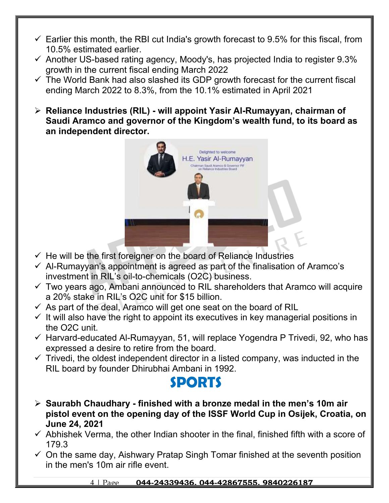- $\checkmark$  Earlier this month, the RBI cut India's growth forecast to 9.5% for this fiscal, from 10.5% estimated earlier.
- $\checkmark$  Another US-based rating agency, Moody's, has projected India to register 9.3% growth in the current fiscal ending March 2022
- $\checkmark$  The World Bank had also slashed its GDP growth forecast for the current fiscal ending March 2022 to 8.3%, from the 10.1% estimated in April 2021
- **Reliance Industries (RIL) will appoint Yasir Al-Rumayyan, chairman of Saudi Aramco and governor of the Kingdom's wealth fund, to its board as an independent director.**



- $\checkmark$  He will be the first foreigner on the board of Reliance Industries
- $\checkmark$  Al-Rumayyan's appointment is agreed as part of the finalisation of Aramco's investment in RIL's oil-to-chemicals (O2C) business.
- $\checkmark$  Two years ago, Ambani announced to RIL shareholders that Aramco will acquire a 20% stake in RIL's O2C unit for \$15 billion.
- $\checkmark$  As part of the deal, Aramco will get one seat on the board of RIL
- $\checkmark$  It will also have the right to appoint its executives in key managerial positions in the O2C unit.
- $\checkmark$  Harvard-educated Al-Rumayyan, 51, will replace Yogendra P Trivedi, 92, who has expressed a desire to retire from the board.
- $\checkmark$  Trivedi, the oldest independent director in a listed company, was inducted in the RIL board by founder Dhirubhai Ambani in 1992.

#### **SPORTS**

- **Saurabh Chaudhary finished with a bronze medal in the men's 10m air pistol event on the opening day of the ISSF World Cup in Osijek, Croatia, on June 24, 2021**
- $\checkmark$  Abhishek Verma, the other Indian shooter in the final, finished fifth with a score of 179.3
- $\checkmark$  On the same day, Aishwary Pratap Singh Tomar finished at the seventh position in the men's 10m air rifle event.